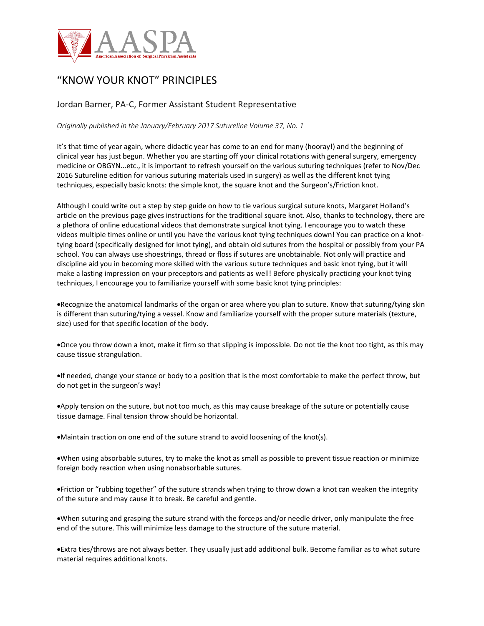

## "KNOW YOUR KNOT" PRINCIPLES

## Jordan Barner, PA-C, Former Assistant Student Representative

*Originally published in the January/February 2017 Sutureline Volume 37, No. 1*

It's that time of year again, where didactic year has come to an end for many (hooray!) and the beginning of clinical year has just begun. Whether you are starting off your clinical rotations with general surgery, emergency medicine or OBGYN...etc., it is important to refresh yourself on the various suturing techniques (refer to Nov/Dec 2016 Sutureline edition for various suturing materials used in surgery) as well as the different knot tying techniques, especially basic knots: the simple knot, the square knot and the Surgeon's/Friction knot.

Although I could write out a step by step guide on how to tie various surgical suture knots, Margaret Holland's article on the previous page gives instructions for the traditional square knot. Also, thanks to technology, there are a plethora of online educational videos that demonstrate surgical knot tying. I encourage you to watch these videos multiple times online or until you have the various knot tying techniques down! You can practice on a knottying board (specifically designed for knot tying), and obtain old sutures from the hospital or possibly from your PA school. You can always use shoestrings, thread or floss if sutures are unobtainable. Not only will practice and discipline aid you in becoming more skilled with the various suture techniques and basic knot tying, but it will make a lasting impression on your preceptors and patients as well! Before physically practicing your knot tying techniques, I encourage you to familiarize yourself with some basic knot tying principles:

•Recognize the anatomical landmarks of the organ or area where you plan to suture. Know that suturing/tying skin is different than suturing/tying a vessel. Know and familiarize yourself with the proper suture materials (texture, size) used for that specific location of the body.

•Once you throw down a knot, make it firm so that slipping is impossible. Do not tie the knot too tight, as this may cause tissue strangulation.

•If needed, change your stance or body to a position that is the most comfortable to make the perfect throw, but do not get in the surgeon's way!

•Apply tension on the suture, but not too much, as this may cause breakage of the suture or potentially cause tissue damage. Final tension throw should be horizontal.

•Maintain traction on one end of the suture strand to avoid loosening of the knot(s).

•When using absorbable sutures, try to make the knot as small as possible to prevent tissue reaction or minimize foreign body reaction when using nonabsorbable sutures.

•Friction or "rubbing together" of the suture strands when trying to throw down a knot can weaken the integrity of the suture and may cause it to break. Be careful and gentle.

•When suturing and grasping the suture strand with the forceps and/or needle driver, only manipulate the free end of the suture. This will minimize less damage to the structure of the suture material.

•Extra ties/throws are not always better. They usually just add additional bulk. Become familiar as to what suture material requires additional knots.